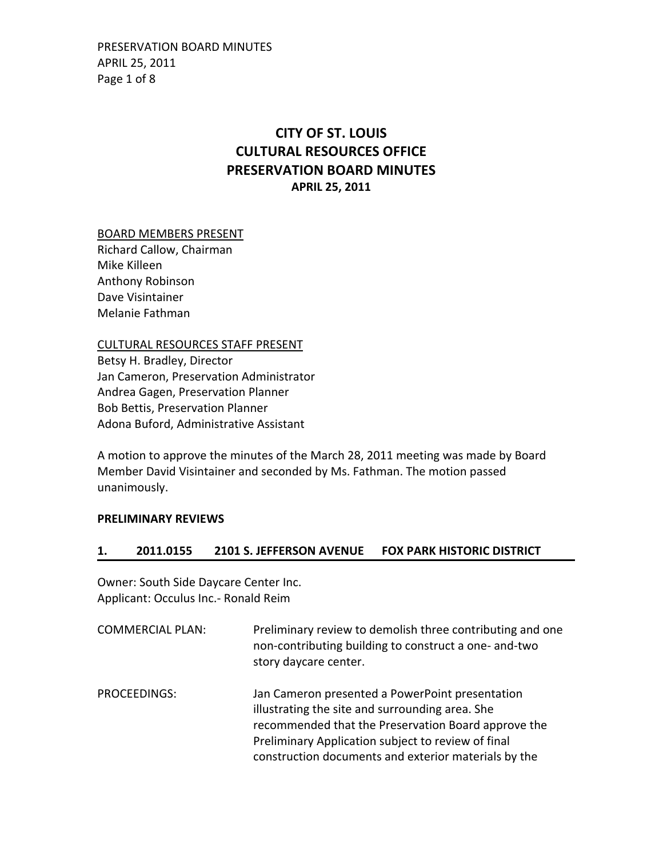PRESERVATION BOARD MINUTES APRIL 25, 2011 Page 1 of 8

# **CITY OF ST. LOUIS CULTURAL RESOURCES OFFICE PRESERVATION BOARD MINUTES APRIL 25, 2011**

### BOARD MEMBERS PRESENT

Richard Callow, Chairman Mike Killeen Anthony Robinson Dave Visintainer Melanie Fathman

CULTURAL RESOURCES STAFF PRESENT

Betsy H. Bradley, Director Jan Cameron, Preservation Administrator Andrea Gagen, Preservation Planner Bob Bettis, Preservation Planner Adona Buford, Administrative Assistant

A motion to approve the minutes of the March 28, 2011 meeting was made by Board Member David Visintainer and seconded by Ms. Fathman. The motion passed unanimously.

#### **PRELIMINARY REVIEWS**

### **1. 2011.0155 2101 S. JEFFERSON AVENUE FOX PARK HISTORIC DISTRICT**

Owner: South Side Daycare Center Inc. Applicant: Occulus Inc.‐ Ronald Reim

COMMERCIAL PLAN: Preliminary review to demolish three contributing and one non‐contributing building to construct a one‐ and‐two story daycare center. PROCEEDINGS: Jan Cameron presented a PowerPoint presentation illustrating the site and surrounding area. She recommended that the Preservation Board approve the

> Preliminary Application subject to review of final construction documents and exterior materials by the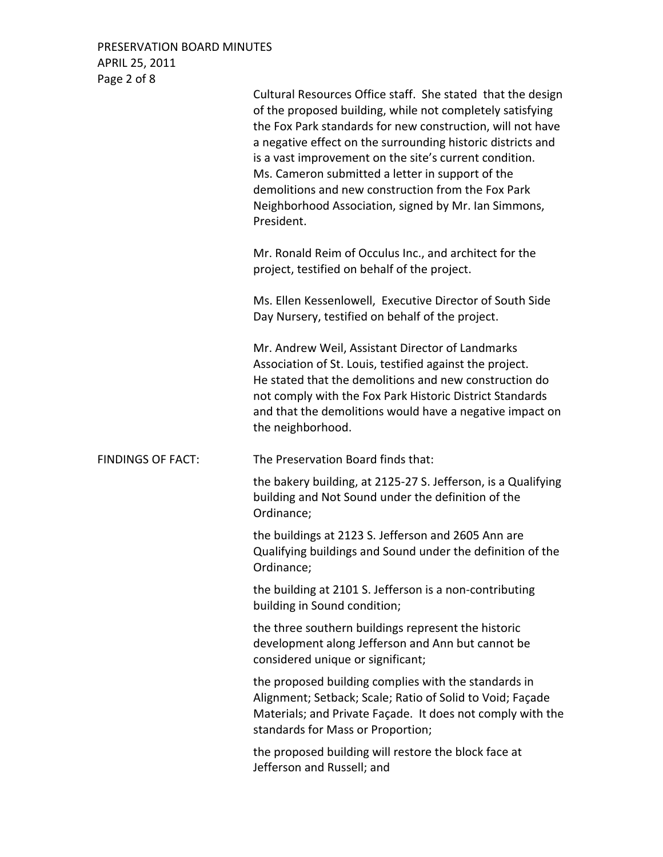PRESERVATION BOARD MINUTES APRIL 25, 2011 Page 2 of 8

|                          | Cultural Resources Office staff. She stated that the design<br>of the proposed building, while not completely satisfying<br>the Fox Park standards for new construction, will not have<br>a negative effect on the surrounding historic districts and<br>is a vast improvement on the site's current condition.<br>Ms. Cameron submitted a letter in support of the<br>demolitions and new construction from the Fox Park<br>Neighborhood Association, signed by Mr. Ian Simmons,<br>President. |
|--------------------------|-------------------------------------------------------------------------------------------------------------------------------------------------------------------------------------------------------------------------------------------------------------------------------------------------------------------------------------------------------------------------------------------------------------------------------------------------------------------------------------------------|
|                          | Mr. Ronald Reim of Occulus Inc., and architect for the<br>project, testified on behalf of the project.                                                                                                                                                                                                                                                                                                                                                                                          |
|                          | Ms. Ellen Kessenlowell, Executive Director of South Side<br>Day Nursery, testified on behalf of the project.                                                                                                                                                                                                                                                                                                                                                                                    |
|                          | Mr. Andrew Weil, Assistant Director of Landmarks<br>Association of St. Louis, testified against the project.<br>He stated that the demolitions and new construction do<br>not comply with the Fox Park Historic District Standards<br>and that the demolitions would have a negative impact on<br>the neighborhood.                                                                                                                                                                             |
| <b>FINDINGS OF FACT:</b> | The Preservation Board finds that:                                                                                                                                                                                                                                                                                                                                                                                                                                                              |
|                          | the bakery building, at 2125-27 S. Jefferson, is a Qualifying<br>building and Not Sound under the definition of the<br>Ordinance;                                                                                                                                                                                                                                                                                                                                                               |
|                          | the buildings at 2123 S. Jefferson and 2605 Ann are<br>Qualifying buildings and Sound under the definition of the<br>Ordinance;                                                                                                                                                                                                                                                                                                                                                                 |
|                          | the building at 2101 S. Jefferson is a non-contributing<br>building in Sound condition;                                                                                                                                                                                                                                                                                                                                                                                                         |
|                          | the three southern buildings represent the historic<br>development along Jefferson and Ann but cannot be<br>considered unique or significant;                                                                                                                                                                                                                                                                                                                                                   |
|                          | the proposed building complies with the standards in<br>Alignment; Setback; Scale; Ratio of Solid to Void; Façade<br>Materials; and Private Façade. It does not comply with the<br>standards for Mass or Proportion;                                                                                                                                                                                                                                                                            |
|                          | the proposed building will restore the block face at<br>Jefferson and Russell; and                                                                                                                                                                                                                                                                                                                                                                                                              |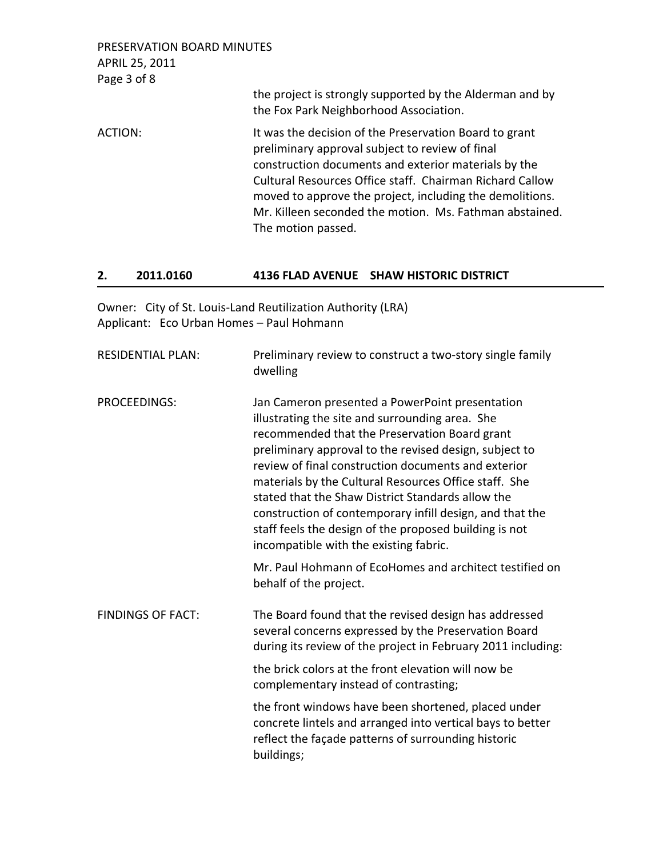| PRESERVATION BOARD MINUTES<br>APRIL 25, 2011<br>Page 3 of 8 |                                                                                                                                                                                                                                                                                                                                                                            |
|-------------------------------------------------------------|----------------------------------------------------------------------------------------------------------------------------------------------------------------------------------------------------------------------------------------------------------------------------------------------------------------------------------------------------------------------------|
|                                                             | the project is strongly supported by the Alderman and by<br>the Fox Park Neighborhood Association.                                                                                                                                                                                                                                                                         |
| ACTION:                                                     | It was the decision of the Preservation Board to grant<br>preliminary approval subject to review of final<br>construction documents and exterior materials by the<br>Cultural Resources Office staff. Chairman Richard Callow<br>moved to approve the project, including the demolitions.<br>Mr. Killeen seconded the motion. Ms. Fathman abstained.<br>The motion passed. |

## **2. 2011.0160 4136 FLAD AVENUE SHAW HISTORIC DISTRICT**

Owner: City of St. Louis‐Land Reutilization Authority (LRA) Applicant: Eco Urban Homes – Paul Hohmann

| <b>RESIDENTIAL PLAN:</b> | Preliminary review to construct a two-story single family<br>dwelling                                                                                                                                                                                                                                                                                                                                                                                                                                                                              |
|--------------------------|----------------------------------------------------------------------------------------------------------------------------------------------------------------------------------------------------------------------------------------------------------------------------------------------------------------------------------------------------------------------------------------------------------------------------------------------------------------------------------------------------------------------------------------------------|
| <b>PROCEEDINGS:</b>      | Jan Cameron presented a PowerPoint presentation<br>illustrating the site and surrounding area. She<br>recommended that the Preservation Board grant<br>preliminary approval to the revised design, subject to<br>review of final construction documents and exterior<br>materials by the Cultural Resources Office staff. She<br>stated that the Shaw District Standards allow the<br>construction of contemporary infill design, and that the<br>staff feels the design of the proposed building is not<br>incompatible with the existing fabric. |
|                          | Mr. Paul Hohmann of EcoHomes and architect testified on<br>behalf of the project.                                                                                                                                                                                                                                                                                                                                                                                                                                                                  |
| <b>FINDINGS OF FACT:</b> | The Board found that the revised design has addressed<br>several concerns expressed by the Preservation Board<br>during its review of the project in February 2011 including:                                                                                                                                                                                                                                                                                                                                                                      |
|                          | the brick colors at the front elevation will now be<br>complementary instead of contrasting;                                                                                                                                                                                                                                                                                                                                                                                                                                                       |
|                          | the front windows have been shortened, placed under<br>concrete lintels and arranged into vertical bays to better<br>reflect the façade patterns of surrounding historic<br>buildings;                                                                                                                                                                                                                                                                                                                                                             |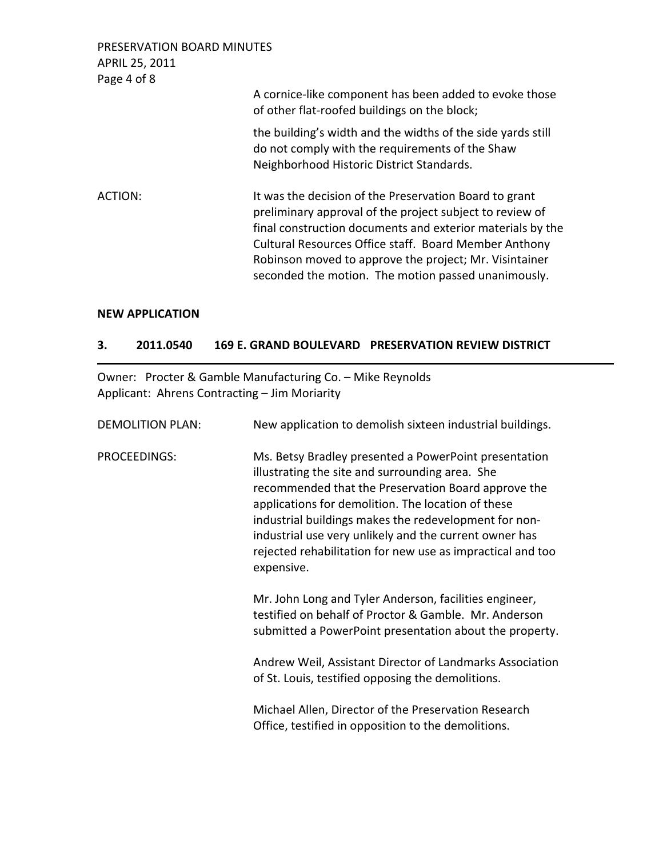| PRESERVATION BOARD MINUTES<br>APRIL 25, 2011<br>Page 4 of 8 |                                                                                                                                                                                                                                                                                                                                                            |
|-------------------------------------------------------------|------------------------------------------------------------------------------------------------------------------------------------------------------------------------------------------------------------------------------------------------------------------------------------------------------------------------------------------------------------|
|                                                             | A cornice-like component has been added to evoke those<br>of other flat-roofed buildings on the block;                                                                                                                                                                                                                                                     |
|                                                             | the building's width and the widths of the side yards still<br>do not comply with the requirements of the Shaw<br>Neighborhood Historic District Standards.                                                                                                                                                                                                |
| ACTION:                                                     | It was the decision of the Preservation Board to grant<br>preliminary approval of the project subject to review of<br>final construction documents and exterior materials by the<br>Cultural Resources Office staff. Board Member Anthony<br>Robinson moved to approve the project; Mr. Visintainer<br>seconded the motion. The motion passed unanimously. |

### **NEW APPLICATION**

### **3. 2011.0540 169 E. GRAND BOULEVARD PRESERVATION REVIEW DISTRICT**

Owner: Procter & Gamble Manufacturing Co. – Mike Reynolds Applicant: Ahrens Contracting – Jim Moriarity

| <b>DEMOLITION PLAN:</b> | New application to demolish sixteen industrial buildings.                                                                                                                                                                                                                                                                                                                                                            |
|-------------------------|----------------------------------------------------------------------------------------------------------------------------------------------------------------------------------------------------------------------------------------------------------------------------------------------------------------------------------------------------------------------------------------------------------------------|
| <b>PROCEEDINGS:</b>     | Ms. Betsy Bradley presented a PowerPoint presentation<br>illustrating the site and surrounding area. She<br>recommended that the Preservation Board approve the<br>applications for demolition. The location of these<br>industrial buildings makes the redevelopment for non-<br>industrial use very unlikely and the current owner has<br>rejected rehabilitation for new use as impractical and too<br>expensive. |
|                         | Mr. John Long and Tyler Anderson, facilities engineer,<br>testified on behalf of Proctor & Gamble. Mr. Anderson<br>submitted a PowerPoint presentation about the property.                                                                                                                                                                                                                                           |
|                         | Andrew Weil, Assistant Director of Landmarks Association<br>of St. Louis, testified opposing the demolitions.                                                                                                                                                                                                                                                                                                        |
|                         | Michael Allen, Director of the Preservation Research<br>Office, testified in opposition to the demolitions.                                                                                                                                                                                                                                                                                                          |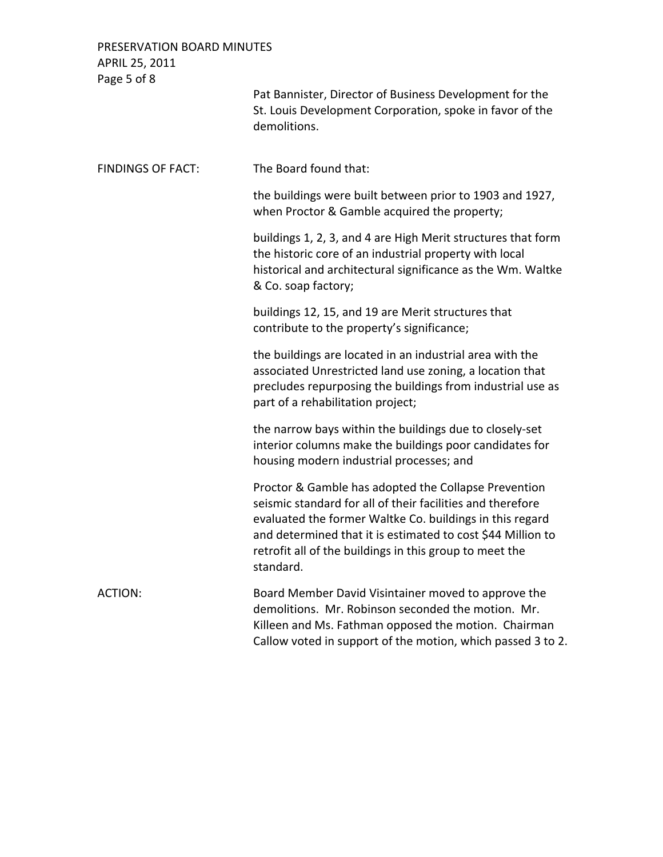PRESERVATION BOARD MINUTES APRIL 25, 2011 Page 5 of 8 Pat Bannister, Director of Business Development for the St. Louis Development Corporation, spoke in favor of the demolitions. FINDINGS OF FACT: The Board found that: the buildings were built between prior to 1903 and 1927, when Proctor & Gamble acquired the property; buildings 1, 2, 3, and 4 are High Merit structures that form the historic core of an industrial property with local historical and architectural significance as the Wm. Waltke & Co. soap factory; buildings 12, 15, and 19 are Merit structures that contribute to the property's significance; the buildings are located in an industrial area with the associated Unrestricted land use zoning, a location that precludes repurposing the buildings from industrial use as part of a rehabilitation project; the narrow bays within the buildings due to closely‐set interior columns make the buildings poor candidates for housing modern industrial processes; and Proctor & Gamble has adopted the Collapse Prevention seismic standard for all of their facilities and therefore evaluated the former Waltke Co. buildings in this regard and determined that it is estimated to cost \$44 Million to retrofit all of the buildings in this group to meet the standard. ACTION: Board Member David Visintainer moved to approve the demolitions. Mr. Robinson seconded the motion. Mr. Killeen and Ms. Fathman opposed the motion. Chairman

Callow voted in support of the motion, which passed 3 to 2.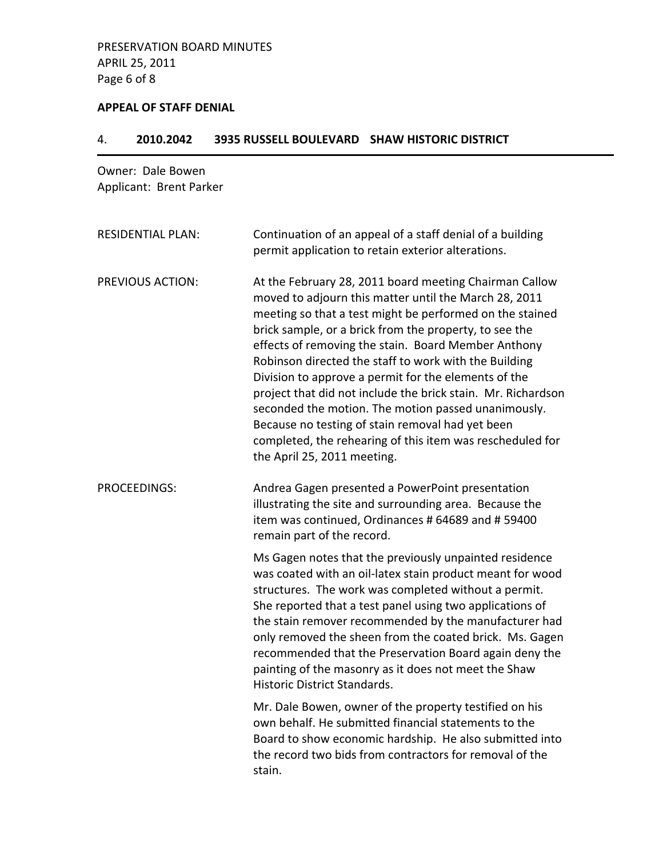### **APPEAL OF STAFF DENIAL**

## 4. **2010.2042 3935 RUSSELL BOULEVARD SHAW HISTORIC DISTRICT**

# Owner: Dale Bowen Applicant: Brent Parker

| <b>RESIDENTIAL PLAN:</b> | Continuation of an appeal of a staff denial of a building<br>permit application to retain exterior alterations.                                                                                                                                                                                                                                                                                                                                                                                                                                                                                                                                                                      |
|--------------------------|--------------------------------------------------------------------------------------------------------------------------------------------------------------------------------------------------------------------------------------------------------------------------------------------------------------------------------------------------------------------------------------------------------------------------------------------------------------------------------------------------------------------------------------------------------------------------------------------------------------------------------------------------------------------------------------|
| <b>PREVIOUS ACTION:</b>  | At the February 28, 2011 board meeting Chairman Callow<br>moved to adjourn this matter until the March 28, 2011<br>meeting so that a test might be performed on the stained<br>brick sample, or a brick from the property, to see the<br>effects of removing the stain. Board Member Anthony<br>Robinson directed the staff to work with the Building<br>Division to approve a permit for the elements of the<br>project that did not include the brick stain. Mr. Richardson<br>seconded the motion. The motion passed unanimously.<br>Because no testing of stain removal had yet been<br>completed, the rehearing of this item was rescheduled for<br>the April 25, 2011 meeting. |
| <b>PROCEEDINGS:</b>      | Andrea Gagen presented a PowerPoint presentation<br>illustrating the site and surrounding area. Because the<br>item was continued, Ordinances # 64689 and # 59400<br>remain part of the record.                                                                                                                                                                                                                                                                                                                                                                                                                                                                                      |
|                          | Ms Gagen notes that the previously unpainted residence<br>was coated with an oil-latex stain product meant for wood<br>structures. The work was completed without a permit.<br>She reported that a test panel using two applications of<br>the stain remover recommended by the manufacturer had<br>only removed the sheen from the coated brick. Ms. Gagen<br>recommended that the Preservation Board again deny the<br>painting of the masonry as it does not meet the Shaw<br>Historic District Standards.                                                                                                                                                                        |
|                          | Mr. Dale Bowen, owner of the property testified on his<br>own behalf. He submitted financial statements to the<br>Board to show economic hardship. He also submitted into<br>the record two bids from contractors for removal of the<br>stain.                                                                                                                                                                                                                                                                                                                                                                                                                                       |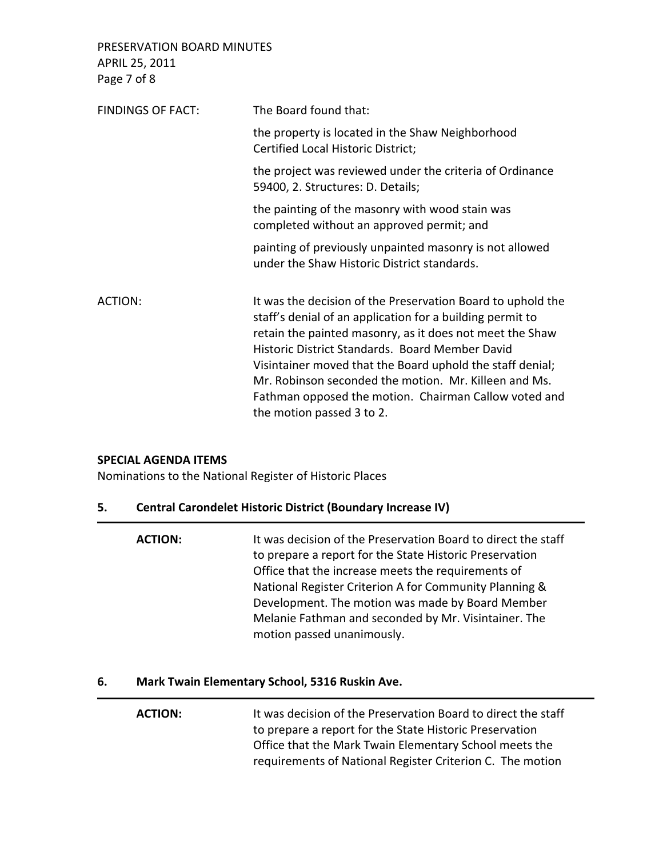PRESERVATION BOARD MINUTES APRIL 25, 2011 Page 7 of 8

| FINDINGS OF FACT: | The Board found that:                                                                                                                                                                                                                                                                                                                                                                                                                               |
|-------------------|-----------------------------------------------------------------------------------------------------------------------------------------------------------------------------------------------------------------------------------------------------------------------------------------------------------------------------------------------------------------------------------------------------------------------------------------------------|
|                   | the property is located in the Shaw Neighborhood<br>Certified Local Historic District;                                                                                                                                                                                                                                                                                                                                                              |
|                   | the project was reviewed under the criteria of Ordinance<br>59400, 2. Structures: D. Details;                                                                                                                                                                                                                                                                                                                                                       |
|                   | the painting of the masonry with wood stain was<br>completed without an approved permit; and                                                                                                                                                                                                                                                                                                                                                        |
|                   | painting of previously unpainted masonry is not allowed<br>under the Shaw Historic District standards.                                                                                                                                                                                                                                                                                                                                              |
| ACTION:           | It was the decision of the Preservation Board to uphold the<br>staff's denial of an application for a building permit to<br>retain the painted masonry, as it does not meet the Shaw<br>Historic District Standards. Board Member David<br>Visintainer moved that the Board uphold the staff denial;<br>Mr. Robinson seconded the motion. Mr. Killeen and Ms.<br>Fathman opposed the motion. Chairman Callow voted and<br>the motion passed 3 to 2. |

### **SPECIAL AGENDA ITEMS**

Nominations to the National Register of Historic Places

# **5. Central Carondelet Historic District (Boundary Increase IV)**

| <b>ACTION:</b> | It was decision of the Preservation Board to direct the staff |
|----------------|---------------------------------------------------------------|
|                | to prepare a report for the State Historic Preservation       |
|                | Office that the increase meets the requirements of            |
|                | National Register Criterion A for Community Planning &        |
|                | Development. The motion was made by Board Member              |
|                | Melanie Fathman and seconded by Mr. Visintainer. The          |
|                | motion passed unanimously.                                    |

# **6. Mark Twain Elementary School, 5316 Ruskin Ave.**

| <b>ACTION:</b> | It was decision of the Preservation Board to direct the staff |
|----------------|---------------------------------------------------------------|
|                | to prepare a report for the State Historic Preservation       |
|                | Office that the Mark Twain Elementary School meets the        |
|                | requirements of National Register Criterion C. The motion     |